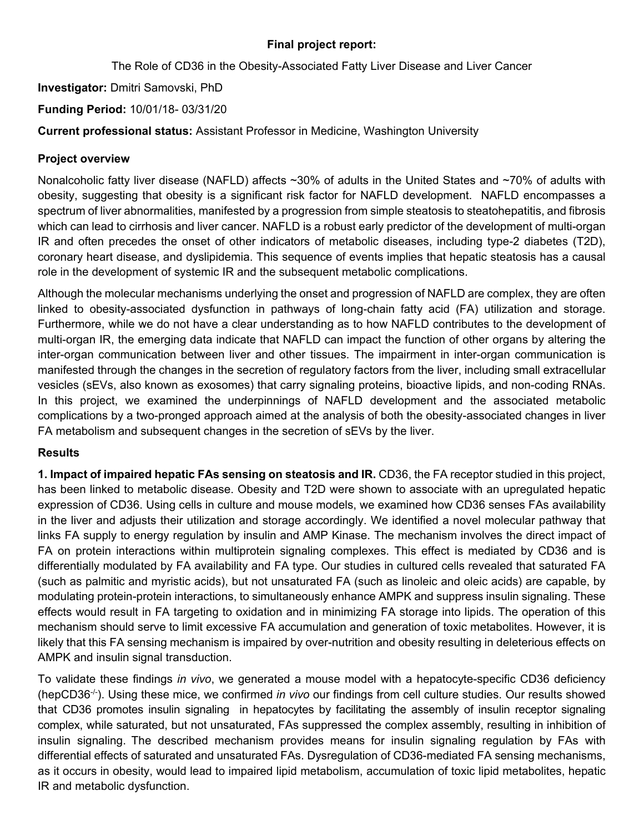## **Final project report:**

The Role of CD36 in the Obesity-Associated Fatty Liver Disease and Liver Cancer

**Investigator:** Dmitri Samovski, PhD

**Funding Period:** 10/01/18- 03/31/20

**Current professional status:** Assistant Professor in Medicine, Washington University

# **Project overview**

Nonalcoholic fatty liver disease (NAFLD) affects ~30% of adults in the United States and ~70% of adults with obesity, suggesting that obesity is a significant risk factor for NAFLD development. NAFLD encompasses a spectrum of liver abnormalities, manifested by a progression from simple steatosis to steatohepatitis, and fibrosis which can lead to cirrhosis and liver cancer. NAFLD is a robust early predictor of the development of multi-organ IR and often precedes the onset of other indicators of metabolic diseases, including type-2 diabetes (T2D), coronary heart disease, and dyslipidemia. This sequence of events implies that hepatic steatosis has a causal role in the development of systemic IR and the subsequent metabolic complications.

Although the molecular mechanisms underlying the onset and progression of NAFLD are complex, they are often linked to obesity-associated dysfunction in pathways of long-chain fatty acid (FA) utilization and storage. Furthermore, while we do not have a clear understanding as to how NAFLD contributes to the development of multi-organ IR, the emerging data indicate that NAFLD can impact the function of other organs by altering the inter-organ communication between liver and other tissues. The impairment in inter-organ communication is manifested through the changes in the secretion of regulatory factors from the liver, including small extracellular vesicles (sEVs, also known as exosomes) that carry signaling proteins, bioactive lipids, and non-coding RNAs. In this project, we examined the underpinnings of NAFLD development and the associated metabolic complications by a two-pronged approach aimed at the analysis of both the obesity-associated changes in liver FA metabolism and subsequent changes in the secretion of sEVs by the liver.

# **Results**

**1. Impact of impaired hepatic FAs sensing on steatosis and IR. CD36, the FA receptor studied in this project,** has been linked to metabolic disease. Obesity and T2D were shown to associate with an upregulated hepatic expression of CD36. Using cells in culture and mouse models, we examined how CD36 senses FAs availability in the liver and adjusts their utilization and storage accordingly. We identified a novel molecular pathway that links FA supply to energy regulation by insulin and AMP Kinase. The mechanism involves the direct impact of FA on protein interactions within multiprotein signaling complexes. This effect is mediated by CD36 and is differentially modulated by FA availability and FA type. Our studies in cultured cells revealed that saturated FA (such as palmitic and myristic acids), but not unsaturated FA (such as linoleic and oleic acids) are capable, by modulating protein-protein interactions, to simultaneously enhance AMPK and suppress insulin signaling. These effects would result in FA targeting to oxidation and in minimizing FA storage into lipids. The operation of this mechanism should serve to limit excessive FA accumulation and generation of toxic metabolites. However, it is likely that this FA sensing mechanism is impaired by over-nutrition and obesity resulting in deleterious effects on AMPK and insulin signal transduction.

To validate these findings *in vivo*, we generated a mouse model with a hepatocyte-specific CD36 deficiency (hepCD36-/-). Using these mice, we confirmed *in vivo* our findings from cell culture studies. Our results showed that CD36 promotes insulin signaling in hepatocytes by facilitating the assembly of insulin receptor signaling complex, while saturated, but not unsaturated, FAs suppressed the complex assembly, resulting in inhibition of insulin signaling. The described mechanism provides means for insulin signaling regulation by FAs with differential effects of saturated and unsaturated FAs. Dysregulation of CD36-mediated FA sensing mechanisms, as it occurs in obesity, would lead to impaired lipid metabolism, accumulation of toxic lipid metabolites, hepatic IR and metabolic dysfunction.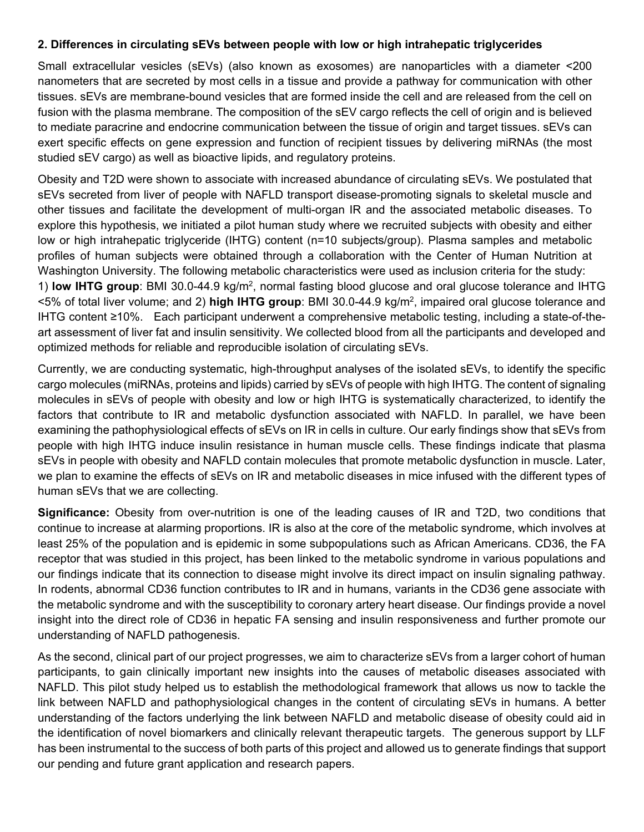#### **2. Differences in circulating sEVs between people with low or high intrahepatic triglycerides**

Small extracellular vesicles (sEVs) (also known as exosomes) are nanoparticles with a diameter <200 nanometers that are secreted by most cells in a tissue and provide a pathway for communication with other tissues. sEVs are membrane-bound vesicles that are formed inside the cell and are released from the cell on fusion with the plasma membrane. The composition of the sEV cargo reflects the cell of origin and is believed to mediate paracrine and endocrine communication between the tissue of origin and target tissues. sEVs can exert specific effects on gene expression and function of recipient tissues by delivering miRNAs (the most studied sEV cargo) as well as bioactive lipids, and regulatory proteins.

Obesity and T2D were shown to associate with increased abundance of circulating sEVs. We postulated that sEVs secreted from liver of people with NAFLD transport disease-promoting signals to skeletal muscle and other tissues and facilitate the development of multi-organ IR and the associated metabolic diseases. To explore this hypothesis, we initiated a pilot human study where we recruited subjects with obesity and either low or high intrahepatic triglyceride (IHTG) content (n=10 subjects/group). Plasma samples and metabolic profiles of human subjects were obtained through a collaboration with the Center of Human Nutrition at Washington University. The following metabolic characteristics were used as inclusion criteria for the study: 1) **low IHTG group**: BMI 30.0-44.9 kg/m2, normal fasting blood glucose and oral glucose tolerance and IHTG <5% of total liver volume; and 2) **high IHTG group**: BMI 30.0-44.9 kg/m2, impaired oral glucose tolerance and IHTG content ≥10%. Each participant underwent a comprehensive metabolic testing, including a state-of-theart assessment of liver fat and insulin sensitivity. We collected blood from all the participants and developed and optimized methods for reliable and reproducible isolation of circulating sEVs.

Currently, we are conducting systematic, high-throughput analyses of the isolated sEVs, to identify the specific cargo molecules (miRNAs, proteins and lipids) carried by sEVs of people with high IHTG. The content of signaling molecules in sEVs of people with obesity and low or high IHTG is systematically characterized, to identify the factors that contribute to IR and metabolic dysfunction associated with NAFLD. In parallel, we have been examining the pathophysiological effects of sEVs on IR in cells in culture. Our early findings show that sEVs from people with high IHTG induce insulin resistance in human muscle cells. These findings indicate that plasma sEVs in people with obesity and NAFLD contain molecules that promote metabolic dysfunction in muscle. Later, we plan to examine the effects of sEVs on IR and metabolic diseases in mice infused with the different types of human sEVs that we are collecting.

**Significance:** Obesity from over-nutrition is one of the leading causes of IR and T2D, two conditions that continue to increase at alarming proportions. IR is also at the core of the metabolic syndrome, which involves at least 25% of the population and is epidemic in some subpopulations such as African Americans. CD36, the FA receptor that was studied in this project, has been linked to the metabolic syndrome in various populations and our findings indicate that its connection to disease might involve its direct impact on insulin signaling pathway. In rodents, abnormal CD36 function contributes to IR and in humans, variants in the CD36 gene associate with the metabolic syndrome and with the susceptibility to coronary artery heart disease. Our findings provide a novel insight into the direct role of CD36 in hepatic FA sensing and insulin responsiveness and further promote our understanding of NAFLD pathogenesis.

As the second, clinical part of our project progresses, we aim to characterize sEVs from a larger cohort of human participants, to gain clinically important new insights into the causes of metabolic diseases associated with NAFLD. This pilot study helped us to establish the methodological framework that allows us now to tackle the link between NAFLD and pathophysiological changes in the content of circulating sEVs in humans. A better understanding of the factors underlying the link between NAFLD and metabolic disease of obesity could aid in the identification of novel biomarkers and clinically relevant therapeutic targets. The generous support by LLF has been instrumental to the success of both parts of this project and allowed us to generate findings that support our pending and future grant application and research papers.